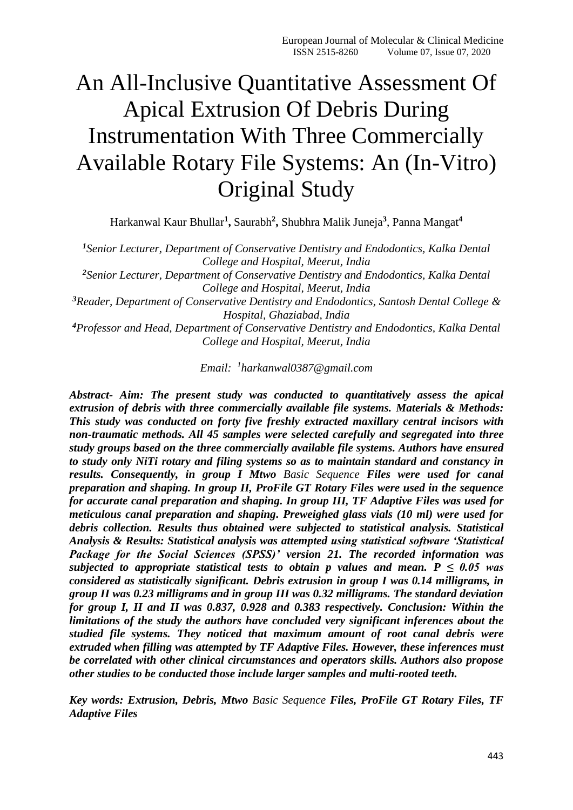# An All-Inclusive Quantitative Assessment Of Apical Extrusion Of Debris During Instrumentation With Three Commercially Available Rotary File Systems: An (In-Vitro) Original Study

Harkanwal Kaur Bhullar**<sup>1</sup> ,** Saurabh**<sup>2</sup> ,** Shubhra Malik Juneja**<sup>3</sup>** , Panna Mangat**<sup>4</sup>**

*<sup>1</sup>Senior Lecturer, Department of Conservative Dentistry and Endodontics, Kalka Dental College and Hospital, Meerut, India*

*<sup>2</sup>Senior Lecturer, Department of Conservative Dentistry and Endodontics, Kalka Dental College and Hospital, Meerut, India*

*<sup>3</sup>Reader, Department of Conservative Dentistry and Endodontics, Santosh Dental College & Hospital, Ghaziabad, India*

*<sup>4</sup>Professor and Head, Department of Conservative Dentistry and Endodontics, Kalka Dental College and Hospital, Meerut, India*

*Email: 1 [harkanwal0387@gmail.com](mailto:1harkanwal0387@gmail.com)*

*Abstract- Aim: The present study was conducted to quantitatively assess the apical extrusion of debris with three commercially available file systems. Materials & Methods: This study was conducted on forty five freshly extracted maxillary central incisors with non-traumatic methods. All 45 samples were selected carefully and segregated into three study groups based on the three commercially available file systems. Authors have ensured to study only NiTi rotary and filing systems so as to maintain standard and constancy in results. Consequently, in group I Mtwo Basic Sequence Files were used for canal preparation and shaping. In group II, ProFile GT Rotary Files were used in the sequence for accurate canal preparation and shaping. In group III, TF Adaptive Files was used for meticulous canal preparation and shaping. Preweighed glass vials (10 ml) were used for debris collection. Results thus obtained were subjected to statistical analysis. Statistical Analysis & Results: Statistical analysis was attempted using statistical software 'Statistical Package for the Social Sciences (SPSS)' version 21. The recorded information was subjected to appropriate statistical tests to obtain p values and mean.*  $P \leq 0.05$  was *considered as statistically significant. Debris extrusion in group I was 0.14 milligrams, in group II was 0.23 milligrams and in group III was 0.32 milligrams. The standard deviation for group I, II and II was 0.837, 0.928 and 0.383 respectively. Conclusion: Within the limitations of the study the authors have concluded very significant inferences about the studied file systems. They noticed that maximum amount of root canal debris were extruded when filling was attempted by TF Adaptive Files. However, these inferences must be correlated with other clinical circumstances and operators skills. Authors also propose other studies to be conducted those include larger samples and multi-rooted teeth.*

*Key words: Extrusion, Debris, Mtwo Basic Sequence Files, ProFile GT Rotary Files, TF Adaptive Files*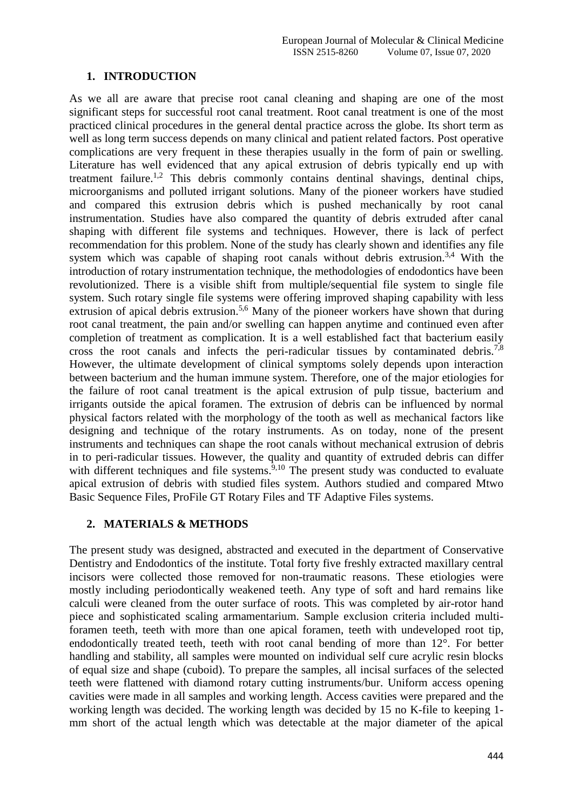#### **1. INTRODUCTION**

As we all are aware that precise root canal cleaning and shaping are one of the most significant steps for successful root canal treatment. Root canal treatment is one of the most practiced clinical procedures in the general dental practice across the globe. Its short term as well as long term success depends on many clinical and patient related factors. Post operative complications are very frequent in these therapies usually in the form of pain or swelling. Literature has well evidenced that any apical extrusion of debris typically end up with treatment failure.<sup>1,2</sup> This debris commonly contains dentinal shavings, dentinal chips, microorganisms and polluted irrigant solutions. Many of the pioneer workers have studied and compared this extrusion debris which is pushed mechanically by root canal instrumentation. Studies have also compared the quantity of debris extruded after canal shaping with different file systems and techniques. However, there is lack of perfect recommendation for this problem. None of the study has clearly shown and identifies any file system which was capable of shaping root canals without debris extrusion.<sup>3,4</sup> With the introduction of rotary instrumentation technique, the methodologies of endodontics have been revolutionized. There is a visible shift from multiple/sequential file system to single file system. Such rotary single file systems were offering improved shaping capability with less extrusion of apical debris extrusion.<sup>5,6</sup> Many of the pioneer workers have shown that during root canal treatment, the pain and/or swelling can happen anytime and continued even after completion of treatment as complication. It is a well established fact that bacterium easily cross the root canals and infects the peri-radicular tissues by contaminated debris.<sup>7,8</sup> However, the ultimate development of clinical symptoms solely depends upon interaction between bacterium and the human immune system. Therefore, one of the major etiologies for the failure of root canal treatment is the apical extrusion of pulp tissue, bacterium and irrigants outside the apical foramen. The extrusion of debris can be influenced by normal physical factors related with the morphology of the tooth as well as mechanical factors like designing and technique of the rotary instruments. As on today, none of the present instruments and techniques can shape the root canals without mechanical extrusion of debris in to peri-radicular tissues. However, the quality and quantity of extruded debris can differ with different techniques and file systems.<sup>9,10</sup> The present study was conducted to evaluate apical extrusion of debris with studied files system. Authors studied and compared Mtwo Basic Sequence Files, ProFile GT Rotary Files and TF Adaptive Files systems.

#### **2. MATERIALS & METHODS**

The present study was designed, abstracted and executed in the department of Conservative Dentistry and Endodontics of the institute. Total forty five freshly extracted maxillary central incisors were collected those removed for non-traumatic reasons. These etiologies were mostly including periodontically weakened teeth. Any type of soft and hard remains like calculi were cleaned from the outer surface of roots. This was completed by air-rotor hand piece and sophisticated scaling armamentarium. Sample exclusion criteria included multiforamen teeth, teeth with more than one apical foramen, teeth with undeveloped root tip, endodontically treated teeth, teeth with root canal bending of more than 12°. For better handling and stability, all samples were mounted on individual self cure acrylic resin blocks of equal size and shape (cuboid). To prepare the samples, all incisal surfaces of the selected teeth were flattened with diamond rotary cutting instruments/bur. Uniform access opening cavities were made in all samples and working length. Access cavities were prepared and the working length was decided. The working length was decided by 15 no K-file to keeping 1 mm short of the actual length which was detectable at the major diameter of the apical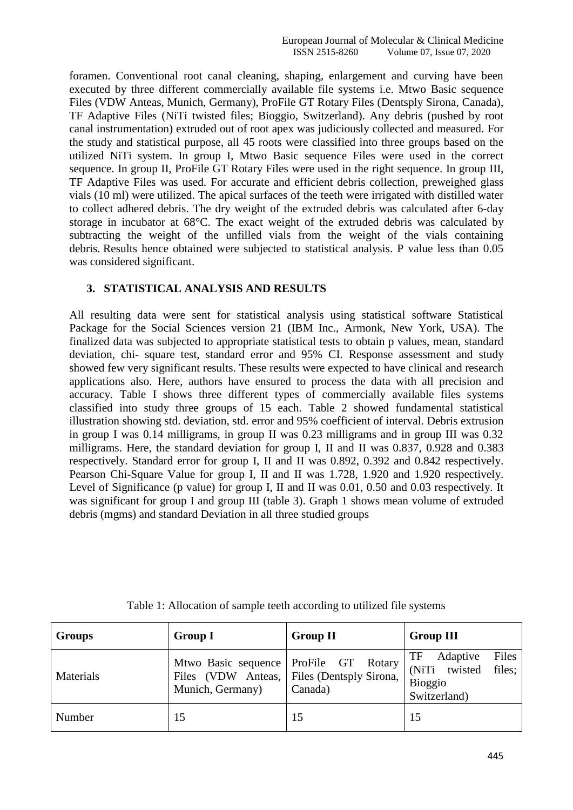foramen. Conventional root canal cleaning, shaping, enlargement and curving have been executed by three different commercially available file systems i.e. Mtwo Basic sequence Files (VDW Anteas, Munich, Germany), ProFile GT Rotary Files (Dentsply Sirona, Canada), TF Adaptive Files (NiTi twisted files; Bioggio, Switzerland). Any debris (pushed by root canal instrumentation) extruded out of root apex was judiciously collected and measured. For the study and statistical purpose, all 45 roots were classified into three groups based on the utilized NiTi system. In group I, Mtwo Basic sequence Files were used in the correct sequence. In group II, ProFile GT Rotary Files were used in the right sequence. In group III, TF Adaptive Files was used. For accurate and efficient debris collection, preweighed glass vials (10 ml) were utilized. The apical surfaces of the teeth were irrigated with distilled water to collect adhered debris. The dry weight of the extruded debris was calculated after 6-day storage in incubator at 68°C. The exact weight of the extruded debris was calculated by subtracting the weight of the unfilled vials from the weight of the vials containing debris. Results hence obtained were subjected to statistical analysis. P value less than 0.05 was considered significant.

#### **3. STATISTICAL ANALYSIS AND RESULTS**

All resulting data were sent for statistical analysis using statistical software Statistical Package for the Social Sciences version 21 (IBM Inc., Armonk, New York, USA). The finalized data was subjected to appropriate statistical tests to obtain p values, mean, standard deviation, chi- square test, standard error and 95% CI. Response assessment and study showed few very significant results. These results were expected to have clinical and research applications also. Here, authors have ensured to process the data with all precision and accuracy. Table I shows three different types of commercially available files systems classified into study three groups of 15 each. Table 2 showed fundamental statistical illustration showing std. deviation, std. error and 95% coefficient of interval. Debris extrusion in group I was 0.14 milligrams, in group II was 0.23 milligrams and in group III was 0.32 milligrams. Here, the standard deviation for group I, II and II was 0.837, 0.928 and 0.383 respectively. Standard error for group I, II and II was 0.892, 0.392 and 0.842 respectively. Pearson Chi-Square Value for group I, II and II was 1.728, 1.920 and 1.920 respectively. Level of Significance (p value) for group I, II and II was 0.01, 0.50 and 0.03 respectively. It was significant for group I and group III (table 3). Graph 1 shows mean volume of extruded debris (mgms) and standard Deviation in all three studied groups

| <b>Groups</b> | <b>Group I</b>                                       | <b>Group II</b>                                                 | <b>Group III</b>                                                                     |
|---------------|------------------------------------------------------|-----------------------------------------------------------------|--------------------------------------------------------------------------------------|
| Materials     | Mtwo Basic sequence   ProFile GT<br>Munich, Germany) | Rotary<br>Files (VDW Anteas, Files (Dentsply Sirona,<br>Canada) | Files<br>TF<br>Adaptive<br>(NiTi twisted<br>files;<br><b>Bioggio</b><br>Switzerland) |
| Number        | 15                                                   | 15                                                              | 15                                                                                   |

Table 1: Allocation of sample teeth according to utilized file systems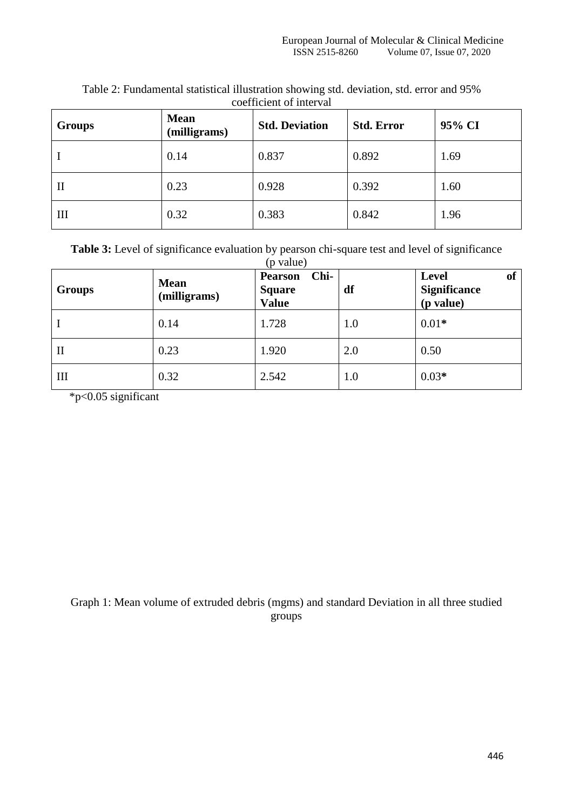| <b>Groups</b> | <b>Mean</b><br>(milligrams) | <b>Std. Deviation</b> | <b>Std. Error</b> | 95% CI |
|---------------|-----------------------------|-----------------------|-------------------|--------|
|               | 0.14                        | 0.837                 | 0.892             | 1.69   |
| $\mathbf{I}$  | 0.23                        | 0.928                 | 0.392             | 1.60   |
| III           | 0.32                        | 0.383                 | 0.842             | 1.96   |

Table 2: Fundamental statistical illustration showing std. deviation, std. error and 95% coefficient of interval

| <b>Table 3:</b> Level of significance evaluation by pearson chi-square test and level of significance |             |  |  |
|-------------------------------------------------------------------------------------------------------|-------------|--|--|
|                                                                                                       | $(n$ value) |  |  |

| <b>Groups</b> | <b>Mean</b><br>(milligrams) | Chi-<br><b>Pearson</b><br><b>Square</b><br><b>Value</b> | df  | of<br><b>Level</b><br><b>Significance</b><br>(p value) |
|---------------|-----------------------------|---------------------------------------------------------|-----|--------------------------------------------------------|
|               | 0.14                        | 1.728                                                   | 1.0 | $0.01*$                                                |
| $\mathbf{I}$  | 0.23                        | 1.920                                                   | 2.0 | 0.50                                                   |
| Ш             | 0.32                        | 2.542                                                   | 1.0 | $0.03*$                                                |

\*p<0.05 significant

Graph 1: Mean volume of extruded debris (mgms) and standard Deviation in all three studied groups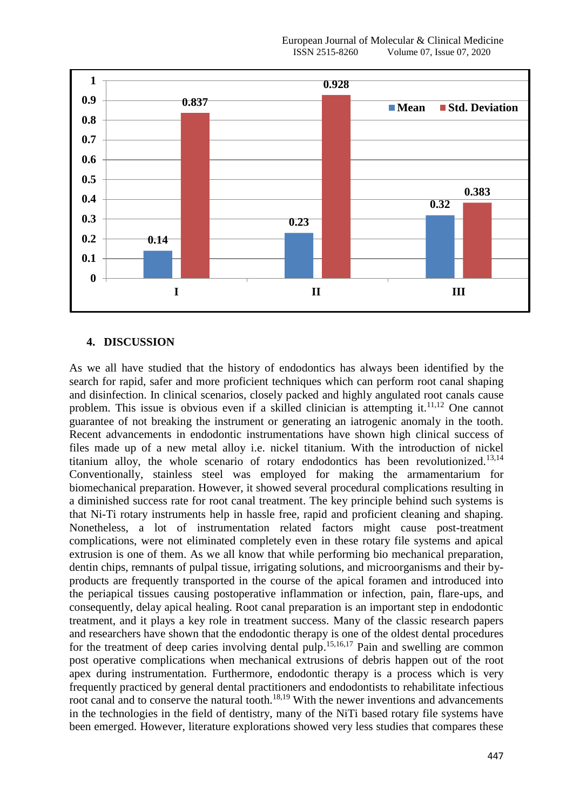

#### **4. DISCUSSION**

As we all have studied that the history of endodontics has always been identified by the search for rapid, safer and more proficient techniques which can perform root canal shaping and disinfection. In clinical scenarios, closely packed and highly angulated root canals cause problem. This issue is obvious even if a skilled clinician is attempting it.<sup>11,12</sup> One cannot guarantee of not breaking the instrument or generating an iatrogenic anomaly in the tooth. Recent advancements in endodontic instrumentations have shown high clinical success of files made up of a new metal alloy i.e. nickel titanium. With the introduction of nickel titanium alloy, the whole scenario of rotary endodontics has been revolutionized.<sup>13,14</sup> Conventionally, stainless steel was employed for making the armamentarium for biomechanical preparation. However, it showed several procedural complications resulting in a diminished success rate for root canal treatment. The key principle behind such systems is that Ni-Ti rotary instruments help in hassle free, rapid and proficient cleaning and shaping. Nonetheless, a lot of instrumentation related factors might cause post-treatment complications, were not eliminated completely even in these rotary file systems and apical extrusion is one of them. As we all know that while performing bio mechanical preparation, dentin chips, remnants of pulpal tissue, irrigating solutions, and microorganisms and their byproducts are frequently transported in the course of the apical foramen and introduced into the periapical tissues causing postoperative inflammation or infection, pain, flare-ups, and consequently, delay apical healing. Root canal preparation is an important step in endodontic treatment, and it plays a key role in treatment success. Many of the classic research papers and researchers have shown that the endodontic therapy is one of the oldest dental procedures for the treatment of deep caries involving dental pulp.<sup>15,16,17</sup> Pain and swelling are common post operative complications when mechanical extrusions of debris happen out of the root apex during instrumentation. Furthermore, endodontic therapy is a process which is very frequently practiced by general dental practitioners and endodontists to rehabilitate infectious root canal and to conserve the natural tooth.<sup>18,19</sup> With the newer inventions and advancements in the technologies in the field of dentistry, many of the NiTi based rotary file systems have been emerged. However, literature explorations showed very less studies that compares these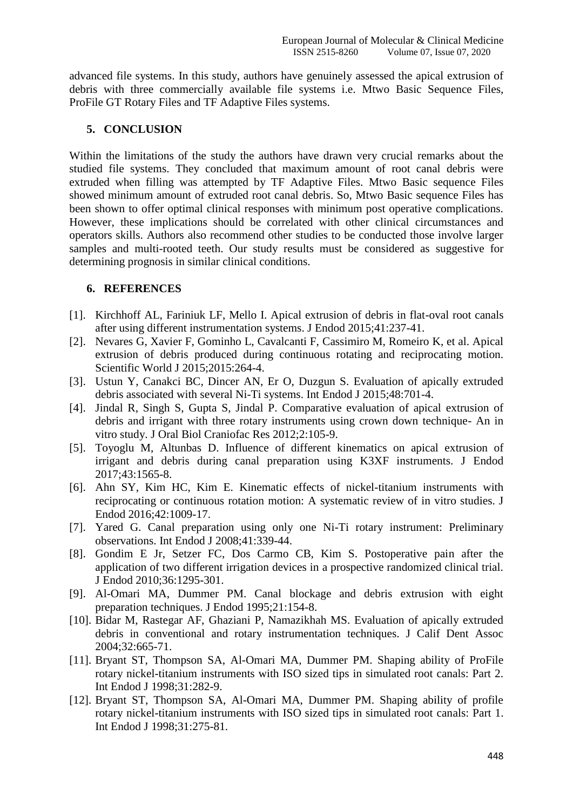advanced file systems. In this study, authors have genuinely assessed the apical extrusion of debris with three commercially available file systems i.e. Mtwo Basic Sequence Files, ProFile GT Rotary Files and TF Adaptive Files systems.

## **5. CONCLUSION**

Within the limitations of the study the authors have drawn very crucial remarks about the studied file systems. They concluded that maximum amount of root canal debris were extruded when filling was attempted by TF Adaptive Files. Mtwo Basic sequence Files showed minimum amount of extruded root canal debris. So, Mtwo Basic sequence Files has been shown to offer optimal clinical responses with minimum post operative complications. However, these implications should be correlated with other clinical circumstances and operators skills. Authors also recommend other studies to be conducted those involve larger samples and multi-rooted teeth. Our study results must be considered as suggestive for determining prognosis in similar clinical conditions.

### **6. REFERENCES**

- [1]. Kirchhoff AL, Fariniuk LF, Mello I. Apical extrusion of debris in flat-oval root canals after using different instrumentation systems. J Endod 2015;41:237-41.
- [2]. Nevares G, Xavier F, Gominho L, Cavalcanti F, Cassimiro M, Romeiro K, et al. Apical extrusion of debris produced during continuous rotating and reciprocating motion. Scientific World J 2015;2015:264-4.
- [3]. Ustun Y, Canakci BC, Dincer AN, Er O, Duzgun S. Evaluation of apically extruded debris associated with several Ni-Ti systems. Int Endod J 2015;48:701-4.
- [4]. Jindal R, Singh S, Gupta S, Jindal P. Comparative evaluation of apical extrusion of debris and irrigant with three rotary instruments using crown down technique- An in vitro study. J Oral Biol Craniofac Res 2012;2:105-9.
- [5]. Toyoglu M, Altunbas D. Influence of different kinematics on apical extrusion of irrigant and debris during canal preparation using K3XF instruments. J Endod 2017;43:1565-8.
- [6]. Ahn SY, Kim HC, Kim E. Kinematic effects of nickel-titanium instruments with reciprocating or continuous rotation motion: A systematic review of in vitro studies. J Endod 2016;42:1009-17.
- [7]. Yared G. Canal preparation using only one Ni-Ti rotary instrument: Preliminary observations. Int Endod J 2008;41:339-44.
- [8]. Gondim E Jr, Setzer FC, Dos Carmo CB, Kim S. Postoperative pain after the application of two different irrigation devices in a prospective randomized clinical trial. J Endod 2010;36:1295-301.
- [9]. Al-Omari MA, Dummer PM. Canal blockage and debris extrusion with eight preparation techniques. J Endod 1995;21:154-8.
- [10]. Bidar M, Rastegar AF, Ghaziani P, Namazikhah MS. Evaluation of apically extruded debris in conventional and rotary instrumentation techniques. J Calif Dent Assoc 2004;32:665-71.
- [11]. Bryant ST, Thompson SA, Al-Omari MA, Dummer PM. Shaping ability of ProFile rotary nickel-titanium instruments with ISO sized tips in simulated root canals: Part 2. Int Endod J 1998;31:282-9.
- [12]. Bryant ST, Thompson SA, Al-Omari MA, Dummer PM. Shaping ability of profile rotary nickel-titanium instruments with ISO sized tips in simulated root canals: Part 1. Int Endod J 1998;31:275-81.